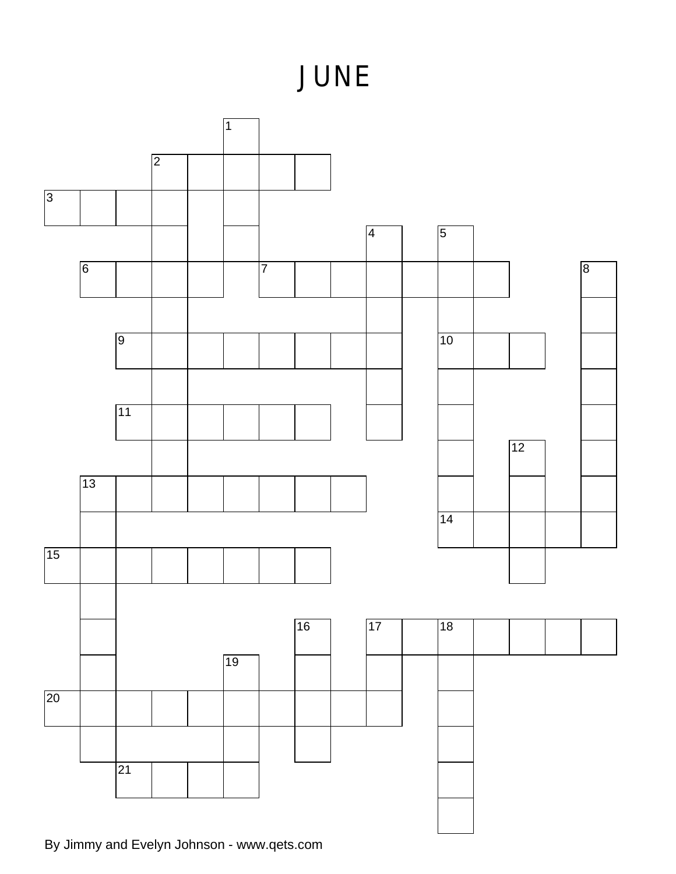## **JUNE**



By Jimmy and Evelyn Johnson - www.qets.com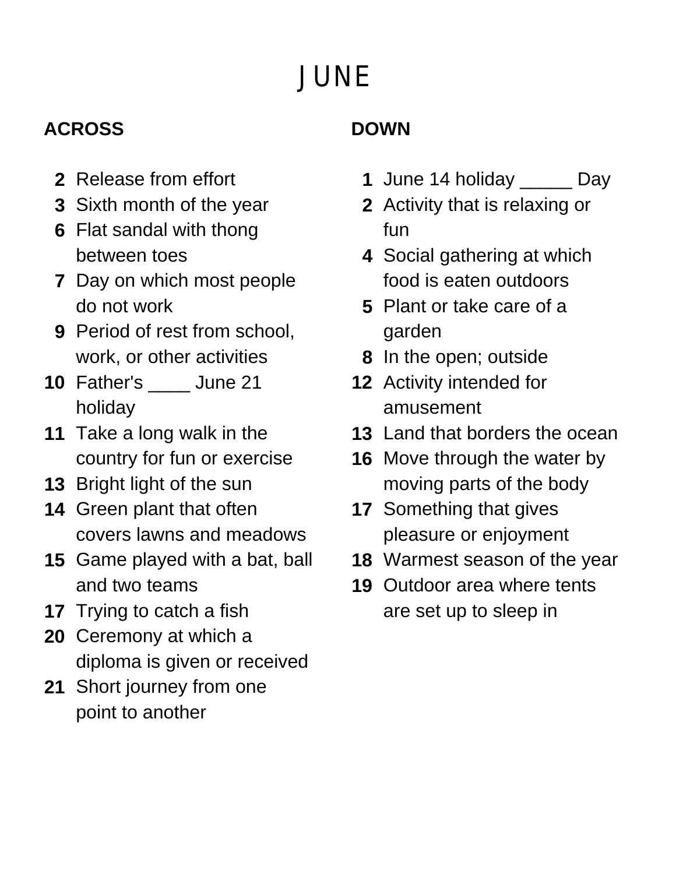# **JUNE**

#### **ACROSS**

- **2** Release from effort
- **3** Sixth month of the year
- **6** Flat sandal with thong between toes
- **7** Day on which most people do not work
- **9** Period of rest from school, work, or other activities
- **10** Father's \_\_\_\_ June 21 holiday
- **11** Take a long walk in the country for fun or exercise
- **13** Bright light of the sun
- **14** Green plant that often covers lawns and meadows
- **15** Game played with a bat, ball and two teams
- **17** Trying to catch a fish
- **20** Ceremony at which a diploma is given or received
- **21** Short journey from one point to another

### **DOWN**

- **1** June 14 holiday \_\_\_\_\_ Day
- **2** Activity that is relaxing or fun
- **4** Social gathering at which food is eaten outdoors
- **5** Plant or take care of a garden
- **8** In the open; outside
- **12** Activity intended for amusement
- **13** Land that borders the ocean
- **16** Move through the water by moving parts of the body
- **17** Something that gives pleasure or enjoyment
- **18** Warmest season of the year
- **19** Outdoor area where tents are set up to sleep in